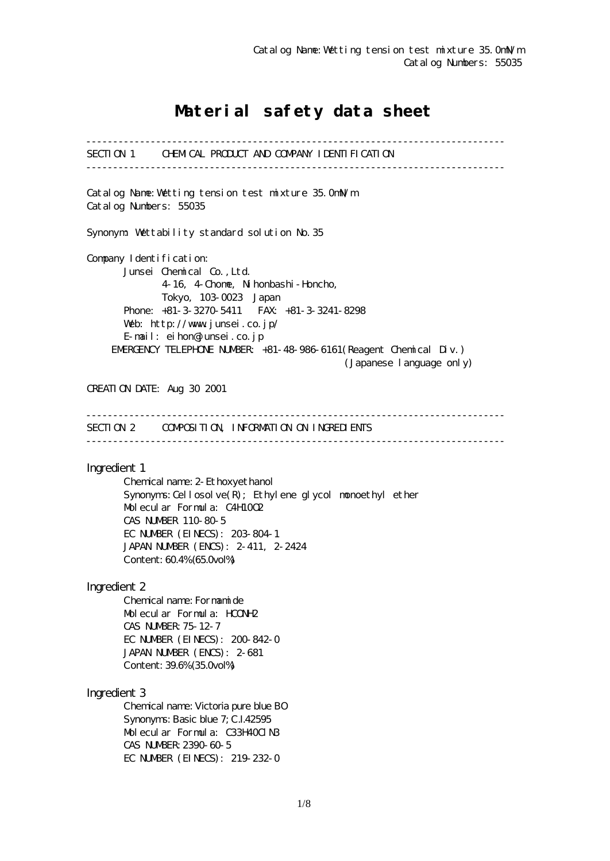# Material safety data sheet

------------------------------------------------------------------------------ SECTION 1 CHEMICAL PRODUCT AND COMPANY IDENTIFICATION ------------------------------------------------------------------------------ Catalog Name:Wetting tension test mixture 35.0mN/m Catalog Numbers: 55035 Synonym: Wettability standard solution No.35 Company I dentification: Junsei Chemical Co.,Ltd. 4-16, 4-Chome, Nihonbashi-Honcho, Tokyo, 103-0023 Japan Phone: +81-3-3270-5411 FAX: +81-3-3241-8298 Web: http://www.junsei.co.jp/ E-mail: eihon@junsei.co.jp EMERGENCY TELEPHONE NUMBER: +81-48-986-6161(Reagent Chemical Div.) (Japanese language only) CREATION DATE: Aug 30 2001 ------------------------------------------------------------------------------ SECTION 2 COMPOSITION, INFORMATION ON INGREDIENTS ------------------------------------------------------------------------------ Ingredient 1 Chemical name: 2-Ethoxyethanol Synonyms: Cellosolve $(R)$ ; Ethylene glycol monoethyl ether Molecular Formula: C4H10O2 CAS NUMBER 110-80-5 EC NUMBER (EINECS): 203-804-1 JAPAN NUMBER (ENCS): 2-411, 2-2424 Content: 60.4% (65.0vol%) Ingredient 2 Chemical name: Formamide Molecular Formula: HCONH2 CAS NUMBER:75-12-7 EC NUMBER (EINECS): 200-842-0 JAPAN NUMBER (ENCS): 2-681 Content: 39.6% (35.0vol%) Ingredient 3 Chemical name: Victoria pure blue BO Synonyms: Basic blue 7; C.I.42595 Molecular Formula: C33H40ClN3 CAS NUMBER:2390-60-5 EC NUMBER (EINECS): 219-232-0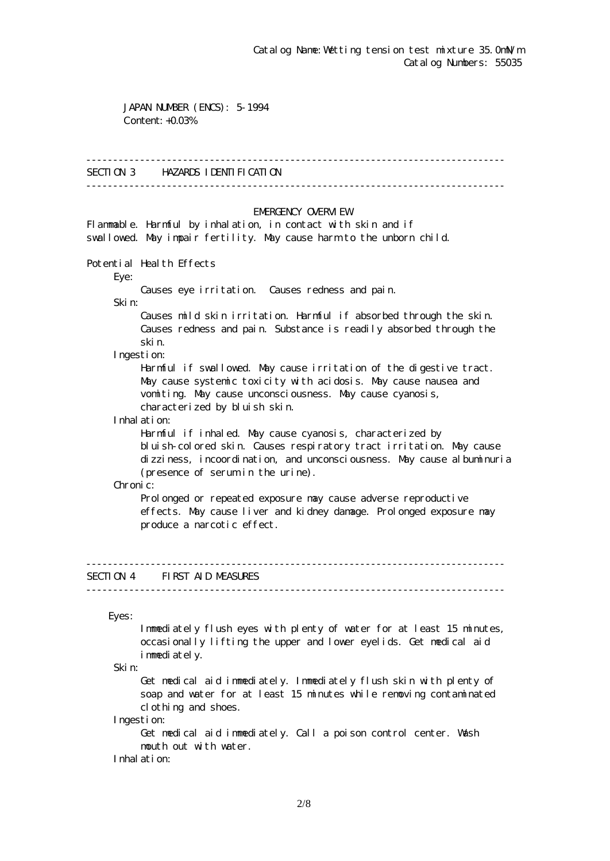JAPAN NUMBER (ENCS): 5-1994 Content: +0.03%

#### ------------------------------------------------------------------------------

## SECTION 3 HAZARDS IDENTIFICATION

------------------------------------------------------------------------------

### EMERGENCY CAERM EW

Flammable. Harmful by inhalation, in contact with skin and if swallowed. May impair fertility. May cause harm to the unborn child.

Potential Health Effects

Eye:

Causes eye irritation. Causes redness and pain.

Skin:

 Causes mild skin irritation. Harmful if absorbed through the skin. Causes redness and pain. Substance is readily absorbed through the skin.

Ingestion:

 Harmful if swallowed. May cause irritation of the digestive tract. May cause systemic toxicity with acidosis. May cause nausea and vomiting. May cause unconsciousness. May cause cyanosis, characterized by bluish skin.

Inhalation:

 Harmful if inhaled. May cause cyanosis, characterized by bluish-colored skin. Causes respiratory tract irritation. May cause dizziness, incoordination, and unconsciousness. May cause albuminuria (presence of serum in the urine).

Chronic:

Prolonged or repeated exposure may cause adverse reproductive effects. May cause liver and kidney damage. Prolonged exposure may produce a narcotic effect.

## SECTION 4 FIRST AID MEASURES

------------------------------------------------------------------------------

------------------------------------------------------------------------------

Eyes:

 Immediately flush eyes with plenty of water for at least 15 minutes, occasionally lifting the upper and lower eyelids. Get medical aid immediately.

Skin:

 Get medical aid immediately. Immediately flush skin with plenty of soap and water for at least 15 minutes while removing contaminated clothing and shoes.

Ingestion:

 Get medical aid immediately. Call a poison control center. Wash mouth out with water.

Inhalation: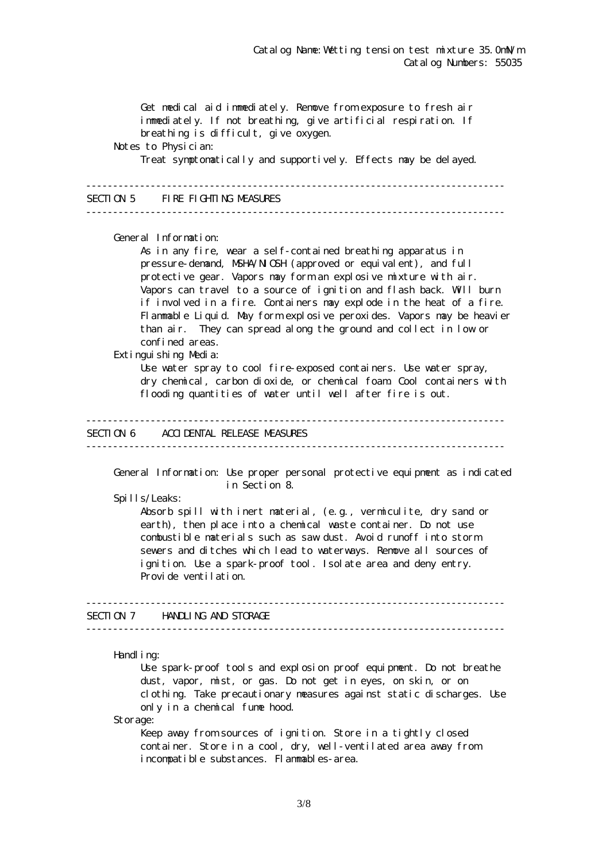Get medical aid immediately. Remove from exposure to fresh air immediately. If not breathing, give artificial respiration. If breathing is difficult, give oxygen. Notes to Physician: Treat symptomatically and supportively. Effects may be delayed. ------------------------------------------------------------------------------ SECTION 5 FIRE FIGHTING MEASURES ------------------------------------------------------------------------------ General Information: As in any fire, wear a self-contained breathing apparatus in pressure-demand, NSHA/NICSH (approved or equivalent), and full protective gear. Vapors may form an explosive mixture with air. Vapors can travel to a source of ignition and flash back. Will burn if involved in a fire. Containers may explode in the heat of a fire. Flammable Liquid. May form explosive peroxides. Vapors may be heavier than air. They can spread along the ground and collect in low or confined areas. Extinguishing Media: Use water spray to cool fire-exposed containers. Use water spray, dry chemical, carbon dioxide, or chemical foam. Cool containers with flooding quantities of water until well after fire is out. ------------------------------------------------------------------------------ SECTION 6 ACCIDENTAL RELEASE MEASURES ------------------------------------------------------------------------------ General Information: Use proper personal protective equipment as indicated in Section 8. Spills/Leaks: Absorb spill with inert material, (e.g., vermiculite, dry sand or earth), then place into a chemical waste container. Do not use combustible materials such as saw dust. Avoid runoff into storm sewers and ditches which lead to waterways. Remove all sources of ignition. Use a spark-proof tool. Isolate area and deny entry. Provide ventilation. ------------------------------------------------------------------------------ SECTION 7 HANDLING AND STORAGE ------------------------------------------------------------------------------ Handling: Use spark-proof tools and explosion proof equipment. Do not breathe dust, vapor, mist, or gas. Do not get in eyes, on skin, or on clothing. Take precautionary measures against static discharges. Use only in a chemical fume hood.

Storage:

Keep away from sources of ignition. Store in a tightly closed container. Store in a cool, dry, well-ventilated area away from incompatible substances. Flammables-area.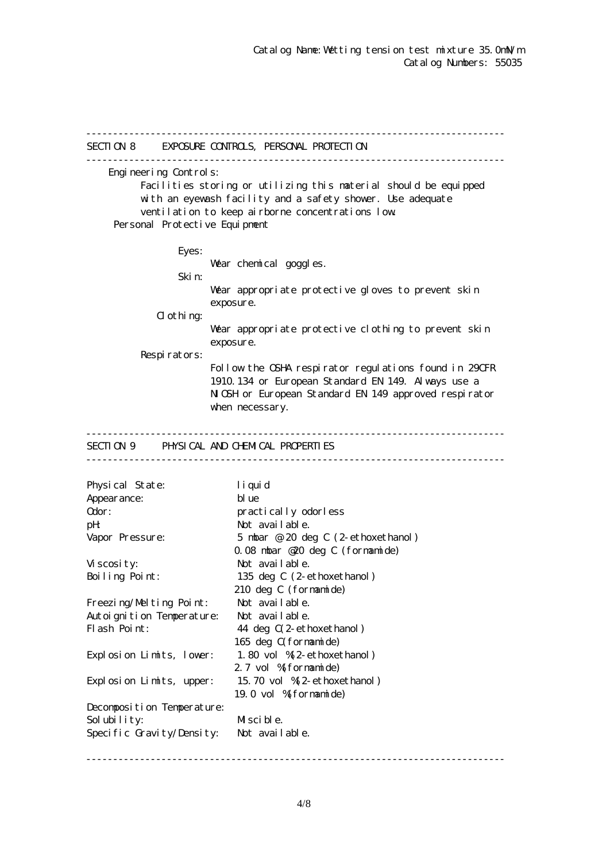------------------------------------------------------------------------------ SECTION 8 EXPOSURE CONTROLS, PERSONAL PROTECTION ------------------------------------------------------------------------------ Engineering Controls: Facilities storing or utilizing this material should be equipped with an eyewash facility and a safety shower. Use adequate ventilation to keep airborne concentrations low. Personal Protective Equipment Eyes: War chemical goggles. Skin: Wear appropriate protective gloves to prevent skin exposure.  $d$  othing: Wear appropriate protective clothing to prevent skin exposure. Respirators: Follow the OSHA respirator regulations found in 29CFR 1910.134 or European Standard EN 149. Always use a NGH or European Standard EN 149 approved respirator when necessary. ------------------------------------------------------------------------------ SECTION 9 PHYSICAL AND CHEMICAL PROPERTIES ------------------------------------------------------------------------------ Physical State: liquid Appearance: blue Odor: practically odorless pH: Not available. Vapor Pressure: 5 mbar @ 20 deg C (2-ethoxethanol) 0.08 mbar @20 deg C (formamide) Viscosity: Not available. Boiling Point: 135 deg C (2-ethoxethanol) 210 deg C (formamide) Freezing/Melting Point: Not available. Autoignition Temperature: Not available. Flash Point: 44 deg  $C(2$ -ethoxethanol) 165 deg C(formamide) Explosion Limits, lower: 1.80 vol %(2-ethoxethanol) 2.7 vol % formamide) Explosion Limits, upper: 15.70 vol %(2-ethoxethanol) 19.0 vol %(formamide) Decomposition Temperature: Solubility: Miscible. Specific Gravity/Density: Not available.

------------------------------------------------------------------------------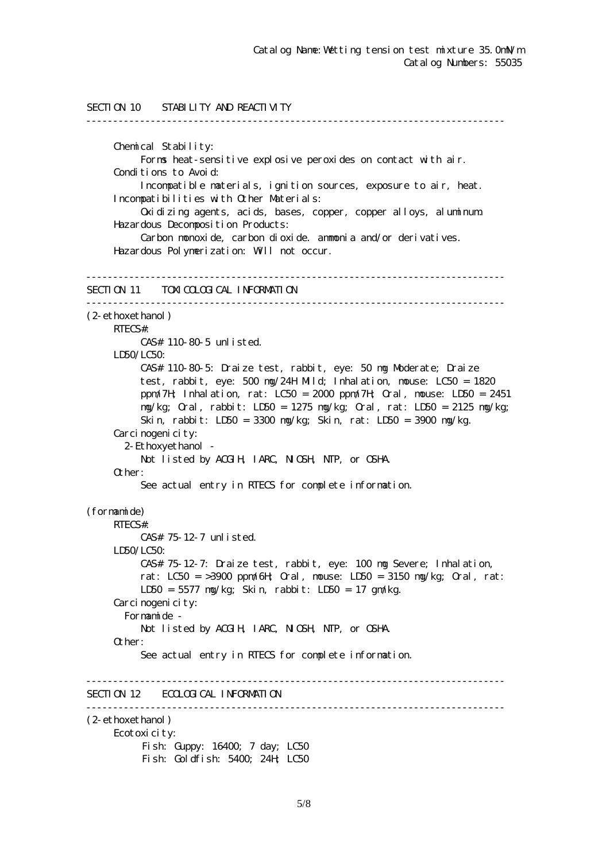```
SECTION 10 STABILITY AND REACTIVITY
------------------------------------------------------------------------------
      Chemical Stability:
           Forms heat-sensitive explosive peroxides on contact with air.
      Conditions to Avoid:
           Incompatible materials, ignition sources, exposure to air, heat.
      Incompatibilities with Other Materials:
           Oxidizing agents, acids, bases, copper, copper alloys, aluminum.
      Hazardous Decomposition Products:
           Carbon monoxide, carbon dioxide. ammonia and/or derivatives.
      Hazardous Polymerization: Will not occur.
------------------------------------------------------------------------------
SECTION 11 TOM COLOGICAL INFORMATION
------------------------------------------------------------------------------
(2-ethoxethanol)
     RTECS#:
           CAS# 110-80-5 unlisted.
    LDSO/LCSO CAS# 110-80-5: Draize test, rabbit, eye: 50 mg Moderate; Draize
           test, rabbit, eye: 500 mg/24H Mild; Inhalation, mouse: LC50 = 1820
           ppm/7H; Inhalation, rat: LC50 = 2000 ppm/7H; Oral, mouse: LD50 = 2451
           mg/kg; Oral, rabbit: LD50 = 1275 mg/kg; Oral, rat: LD50 = 2125 mg/kg;
           Skin, rabbit: LD50 = 3300 mg/kg; Skin, rat: LD50 = 3900 mg/kg.
     Carcinogenicity:
        2-Ethoxyethanol -
          Not listed by ACGIH, IARC, NICSH, NIP, or CSHA.
      Other:
           See actual entry in RTECS for complete information.
(formamide)
     RTECS#:
           CAS# 75-12-7 unlisted.
      LD50/LC50:
           CAS# 75-12-7: Draize test, rabbit, eye: 100 mg Severe; Inhalation,
          rat: LC50 = >3900 ppm/6H Qrd, nouse: LD50 = 3150 mg/kg; Qrd, rat:
           LD50 = 5577 mg/kg; Skin, rabbit: LD50 = 17 gm/kg.
     Carcinogenicity:
        Formamide -
          Not listed by ACGIH, IARC, NICSH, NIP, or CSHA.
      Other:
           See actual entry in RTECS for complete information.
------------------------------------------------------------------------------
SECTION 12 ECOLOGICAL INFORMATION
------------------------------------------------------------------------------
(2-ethoxethanol)
      Ecotoxicity:
          Fish: Guppy: 16400; 7 day; LC50
          Fish: Goldfish: 5400; 24H; LC50
```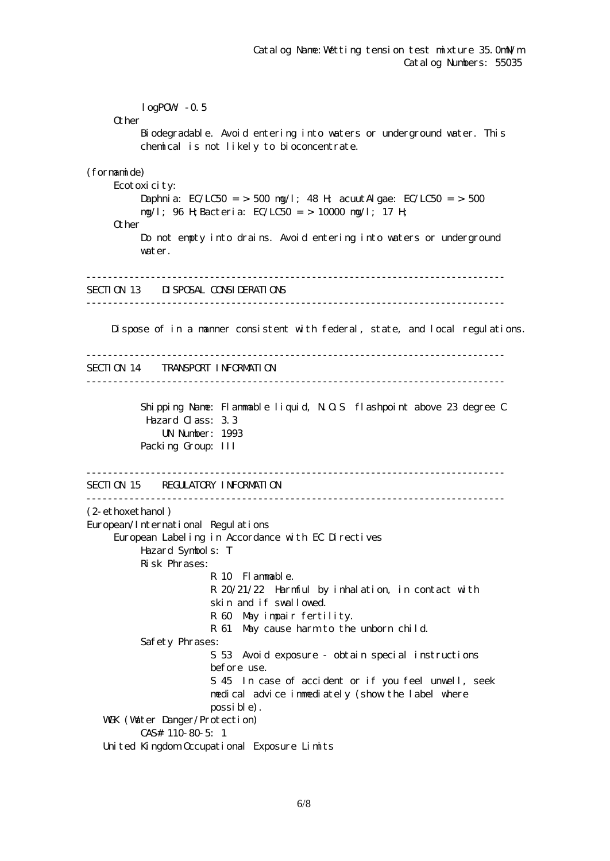$logPOW - 0.5$ **O**ther Biodegradable. Avoid entering into waters or underground water. This chemical is not likely to bioconcentrate. (formamide) Ecotoxicity: Daphnia: EC/LC50 = > 500 mg/l; 48 H; acuut Algae: EC/LC50 = > 500 mg/l; 96 H;Bacteria: EC/LC50 = > 10000 mg/l; 17 H; Other Do not empty into drains. Avoid entering into waters or underground water. ------------------------------------------------------------------------------ SECTION 13 DISPOSAL CONSIDERATIONS ------------------------------------------------------------------------------ Dispose of in a manner consistent with federal, state, and local regulations. ------------------------------------------------------------------------------ SECTION 14 TRANSPORT INFORMATION ------------------------------------------------------------------------------ Shipping Name: Flammable liquid, N.O.S flashpoint above 23 degree C Hazard Class: 3.3 UN Number: 1993 Packing Group: III ------------------------------------------------------------------------------ SECTION 15 REGULATORY INFORMATION ------------------------------------------------------------------------------ (2-ethoxethanol) European/International Regulations European Labeling in Accordance with EC Directives Hazard Symbols: T Risk Phrases: R 10 Flammable. R 20/21/22 Harmful by inhalation, in contact with skin and if swallowed. R 60 May impair fertility. R 61 May cause harm to the unborn child. Safety Phrases: S 53 Avoid exposure - obtain special instructions before use. S 45 In case of accident or if you feel unwell, seek medical advice immediately (show the label where possible). WGK (Water Danger/Protection) CAS# 110-80-5: 1 United Kingdom Occupational Exposure Limits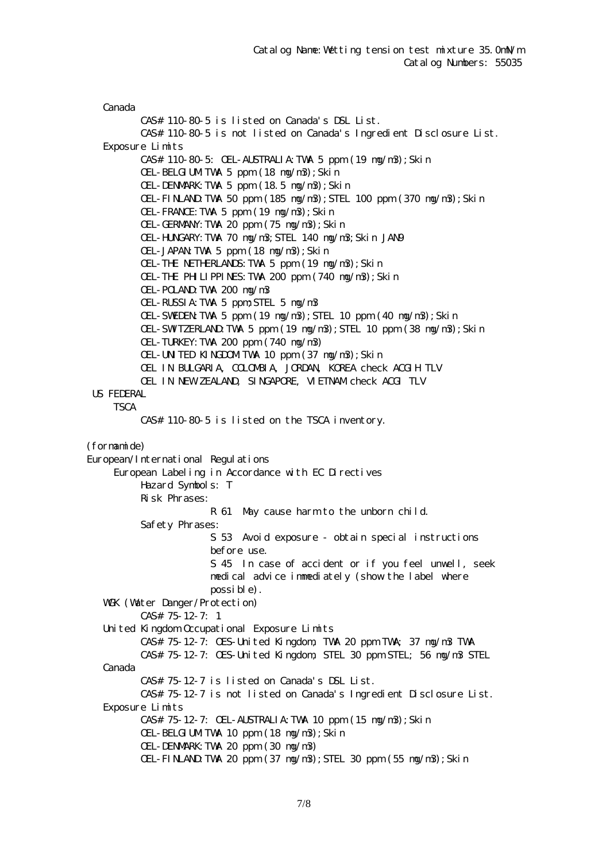Canada CAS# 110-80-5 is listed on Canada's DSL List. CAS# 110-80-5 is not listed on Canada's Ingredient Disclosure List. Exposure Limits CAS# 110-80-5: OEL-AUSTRALIA:TWA 5 ppm (19 mg/m3);Skin OEL-BELGIUMTWA 5 ppm (18 ng/n3); Skin OEL-DENMARK:TWA 5 ppm (18.5 mg/m3);Skin OEL-FINLAND:TWA 50 ppm (185 mg/m3);STEL 100 ppm (370 mg/m3);Skin OEL-FRANCE:TWA 5 ppm (19 mg/m3);Skin OEL-GERMANY:TWA 20 ppm (75 mg/m3);Skin OEL-HUNGARY:TWA 70 mg/m3;STEL 140 mg/m3;Skin JAN9 OEL-JAPAN:TWA 5 ppm (18 mg/m3);Skin OEL-THE NETHERLANDS:TWA 5 ppm (19 mg/m3);Skin OEL-THE PHILIPPINES:TWA 200 ppm (740 mg/m3);Skin OEL-POLAND:TWA 200 mg/m3 OEL-RUSSIA:TWA 5 ppm;STEL 5 mg/m3 OEL-SWEDEN:TWA 5 ppm (19 mg/m3);STEL 10 ppm (40 mg/m3);Skin OEL-SWITZERLAND:TWA 5 ppm (19 mg/m3);STEL 10 ppm (38 mg/m3);Skin OEL-TURKEY:TWA 200 ppm (740 mg/m3) OEL-UNITED KINGDOMITWA 10 ppm (37 ng/n3); Skin OEL IN BULGARIA, COLOMBIA, JORDAN, KOREA check ACGIH TLV OEL IN NEW ZEALAND, SINGAPORE, VIETNAM check ACGI TLV US FEDERAL **TSCA**  CAS# 110-80-5 is listed on the TSCA inventory. (formamide) European/International Regulations European Labeling in Accordance with EC Directives Hazard Symbols: T Risk Phrases: R 61 May cause harm to the unborn child. Safety Phrases: S 53 Avoid exposure - obtain special instructions before use. S 45 In case of accident or if you feel unwell, seek medical advice immediately (show the label where possible). WGK (Watter Danger/Protection) CAS# 75-12-7: 1 United Kingdom Occupational Exposure Limits CAS# 75-12-7: OES-United Kingdom, TWA 20 ppm TWA; 37 mg/m3 TWA CAS# 75-12-7: OES-United Kingdom, STEL 30 ppm STEL; 56 mg/m3 STEL Canada CAS# 75-12-7 is listed on Canada's DSL List. CAS# 75-12-7 is not listed on Canada's Ingredient Disclosure List. Exposure Limits CAS# 75-12-7: OEL-AUSTRALIA:TWA 10 ppm (15 mg/m3);Skin OEL-BELGIUMTWA 10 ppm (18 ng/n3); Skin OEL-DENMARK:TWA 20 ppm (30 mg/m3)  $CH$ -FINLAND TWA 20 ppm  $(37 \text{ ng/m3})$ ; STEL 30 ppm  $(55 \text{ ng/m3})$ ; Skin